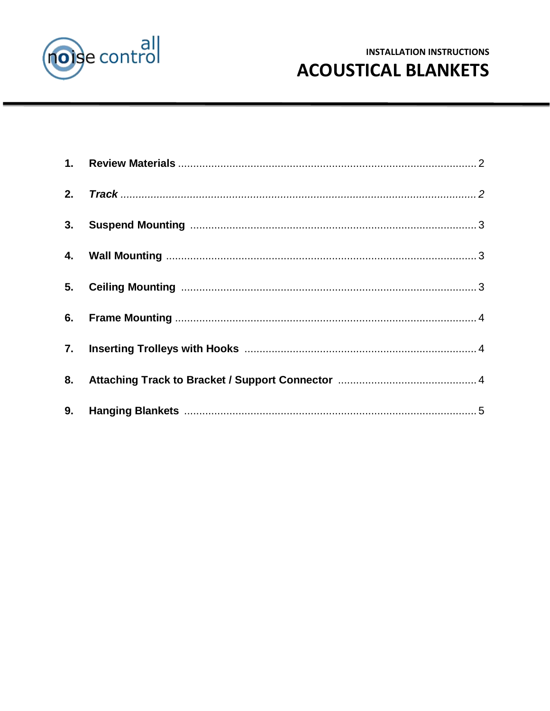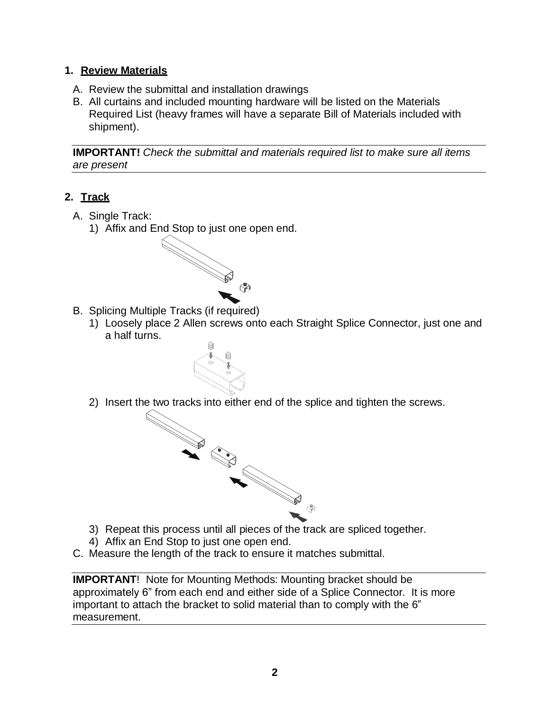### **1. Review Materials**

- A. Review the submittal and installation drawings
- B. All curtains and included mounting hardware will be listed on the Materials Required List (heavy frames will have a separate Bill of Materials included with shipment).

**IMPORTANT!** *Check the submittal and materials required list to make sure all items are present*

## <span id="page-1-0"></span>**2. Track**

- A. Single Track:
	- 1) Affix and End Stop to just one open end.



- B. Splicing Multiple Tracks (if required)
	- 1) Loosely place 2 Allen screws onto each Straight Splice Connector, just one and a half turns.
	- 2) Insert the two tracks into either end of the splice and tighten the screws.



- 
- 4) Affix an End Stop to just one open end.
- C. Measure the length of the track to ensure it matches submittal.

**IMPORTANT**! Note for Mounting Methods: Mounting bracket should be approximately 6" from each end and either side of a Splice Connector. It is more important to attach the bracket to solid material than to comply with the 6" measurement.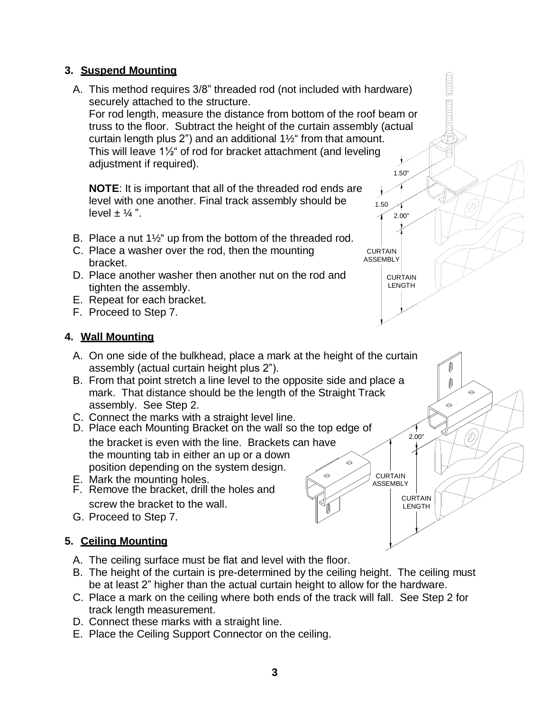### <span id="page-2-0"></span>**3. Suspend Mounting**

A. This method requires 3/8" threaded rod (not included with hardware) securely attached to the structure.

For rod length, measure the distance from bottom of the roof beam or truss to the floor. Subtract the height of the curtain assembly (actual curtain length plus 2") and an additional 1½" from that amount. This will leave 1½" of rod for bracket attachment (and leveling adjustment if required). 1.50"

1.50

ィ

**CURTAIN** ASSEMBLY

2.00"

CURTAIN LENGTH

**CURTAIN** ASSEMBLY

2.00"

⊜

D)

CURTAIN LENGTH

**NOTE**: It is important that all of the threaded rod ends are level with one another. Final track assembly should be level  $\pm$  1/4 ".

- B. Place a nut 1½" up from the bottom of the threaded rod.
- C. Place a washer over the rod, then the mounting bracket.
- D. Place another washer then another nut on the rod and tighten the assembly.
- E. Repeat for each bracket.
- F. Proceed to Step 7.

## <span id="page-2-1"></span>**4. Wall Mounting**

- A. On one side of the bulkhead, place a mark at the height of the curtain assembly (actual curtain height plus 2").
- B. From that point stretch a line level to the opposite side and place a mark. That distance should be the length of the Straight Track assembly. See Step 2.
- C. Connect the marks with a straight level line.
- D. Place each Mounting Bracket on the wall so the top edge of

the bracket is even with the line. Brackets can have the mounting tab in either an up or a down position depending on the system design.

- E. Mark the mounting holes.
- F. Remove the bracket, drill the holes and screw the bracket to the wall.
- G. Proceed to Step 7.

## <span id="page-2-2"></span>**5. Ceiling Mounting**

- A. The ceiling surface must be flat and level with the floor.
- B. The height of the curtain is pre-determined by the ceiling height. The ceiling must be at least 2" higher than the actual curtain height to allow for the hardware.
- C. Place a mark on the ceiling where both ends of the track will fall. See Step 2 for track length measurement.
- D. Connect these marks with a straight line.
- E. Place the Ceiling Support Connector on the ceiling.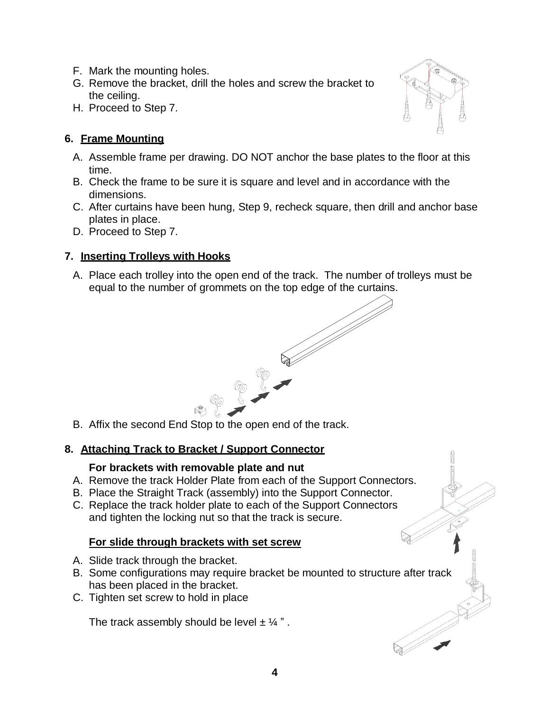- F. Mark the mounting holes.
- G. Remove the bracket, drill the holes and screw the bracket to the ceiling.
- H. Proceed to Step 7.

# <span id="page-3-0"></span>**6. Frame Mounting**

- A. Assemble frame per drawing. DO NOT anchor the base plates to the floor at this time.
- B. Check the frame to be sure it is square and level and in accordance with the dimensions.
- C. After curtains have been hung, Step 9, recheck square, then drill and anchor base plates in place.
- D. Proceed to Step 7.

# <span id="page-3-1"></span>**7. Inserting Trolleys with Hooks**

A. Place each trolley into the open end of the track. The number of trolleys must be equal to the number of grommets on the top edge of the curtains.



B. Affix the second End Stop to the open end of the track.

## **8. Attaching Track to Bracket / Support Connector**

#### **For brackets with removable plate and nut**

- A. Remove the track Holder Plate from each of the Support Connectors.
- B. Place the Straight Track (assembly) into the Support Connector.
- C. Replace the track holder plate to each of the Support Connectors and tighten the locking nut so that the track is secure.

## **For slide through brackets with set screw**

- A. Slide track through the bracket.
- B. Some configurations may require bracket be mounted to structure after track has been placed in the bracket.
- C. Tighten set screw to hold in place

The track assembly should be level  $\pm$  1/4".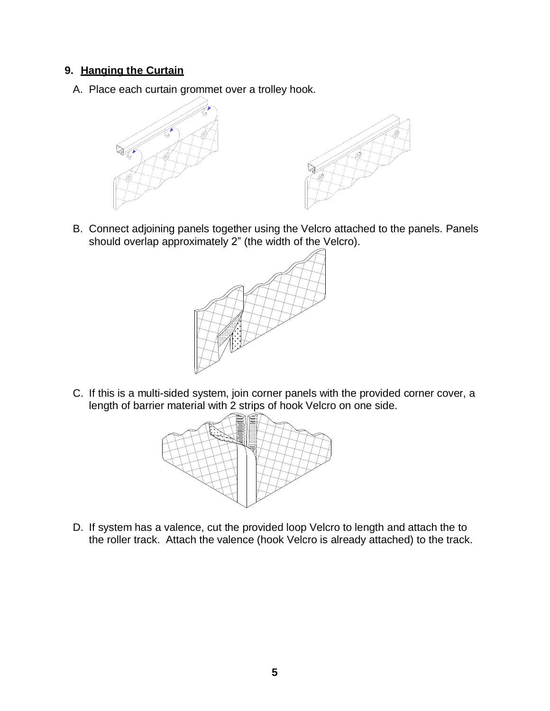## <span id="page-4-0"></span>**9. Hanging the Curtain**

A. Place each curtain grommet over a trolley hook.





B. Connect adjoining panels together using the Velcro attached to the panels. Panels should overlap approximately 2" (the width of the Velcro).



C. If this is a multi-sided system, join corner panels with the provided corner cover, a length of barrier material with 2 strips of hook Velcro on one side.



D. If system has a valence, cut the provided loop Velcro to length and attach the to the roller track. Attach the valence (hook Velcro is already attached) to the track.